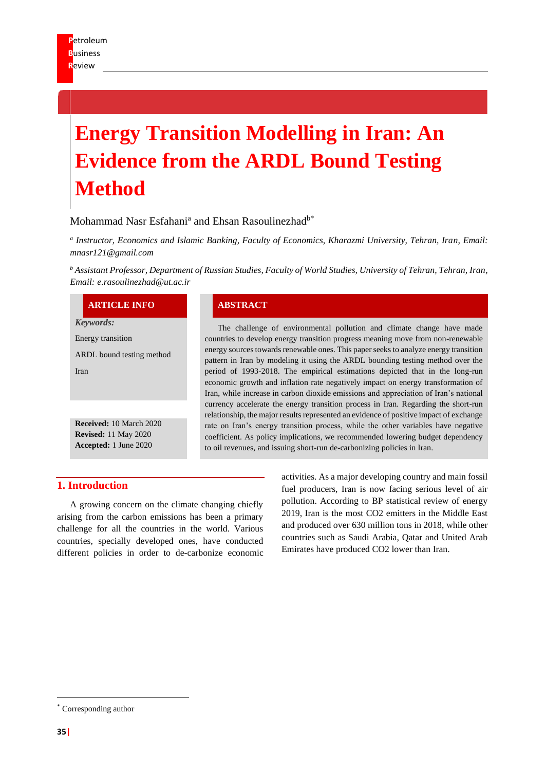# **Energy Transition Modelling in Iran: An Evidence from the ARDL Bound Testing Method**

# Mohammad Nasr Esfahani<sup>a</sup> and Ehsan Rasoulinezhad<sup>b\*</sup>

*a Instructor, Economics and Islamic Banking, Faculty of Economics, Kharazmi University, Tehran, Iran, Email: mnasr121@gmail.com*

*<sup>b</sup> Assistant Professor, Department of Russian Studies, Faculty of World Studies, University of Tehran, Tehran, Iran, Email: e.rasoulinezhad@ut.ac.ir*

#### **ARTICLE INFO ABSTRACT**

*Keywords:* Energy transition ARDL bound testing method Iran **Received:** 10 March 2020 **Revised:** 11 May 2020

**Accepted:** 1 June 2020

The challenge of environmental pollution and climate change have made countries to develop energy transition progress meaning move from non-renewable energy sources towards renewable ones. This paper seeks to analyze energy transition pattern in Iran by modeling it using the ARDL bounding testing method over the period of 1993-2018. The empirical estimations depicted that in the long-run economic growth and inflation rate negatively impact on energy transformation of Iran, while increase in carbon dioxide emissions and appreciation of Iran's national currency accelerate the energy transition process in Iran. Regarding the short-run relationship, the major results represented an evidence of positive impact of exchange rate on Iran's energy transition process, while the other variables have negative coefficient. As policy implications, we recommended lowering budget dependency to oil revenues, and issuing short-run de-carbonizing policies in Iran.

### **1. Introduction**

A growing concern on the climate changing chiefly arising from the carbon emissions has been a primary challenge for all the countries in the world. Various countries, specially developed ones, have conducted different policies in order to de-carbonize economic activities. As a major developing country and main fossil fuel producers, Iran is now facing serious level of air pollution. According to BP statistical review of energy 2019, Iran is the most CO2 emitters in the Middle East and produced over 630 million tons in 2018, while other countries such as Saudi Arabia, Qatar and United Arab Emirates have produced CO2 lower than Iran.

<sup>\*</sup> Corresponding author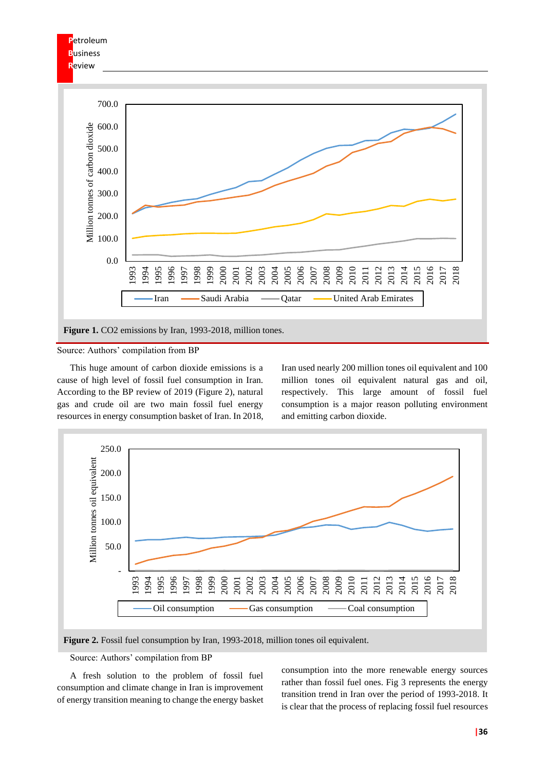

Source: Authors' compilation from BP

This huge amount of carbon dioxide emissions is a cause of high level of fossil fuel consumption in Iran. According to the BP review of 2019 (Figure 2), natural gas and crude oil are two main fossil fuel energy resources in energy consumption basket of Iran. In 2018, Iran used nearly 200 million tones oil equivalent and 100 million tones oil equivalent natural gas and oil, respectively. This large amount of fossil fuel consumption is a major reason polluting environment and emitting carbon dioxide.



Figure 2. Fossil fuel consumption by Iran, 1993-2018, million tones oil equivalent.

Source: Authors' compilation from BP

A fresh solution to the problem of fossil fuel consumption and climate change in Iran is improvement of energy transition meaning to change the energy basket consumption into the more renewable energy sources rather than fossil fuel ones. Fig 3 represents the energy transition trend in Iran over the period of 1993-2018. It is clear that the process of replacing fossil fuel resources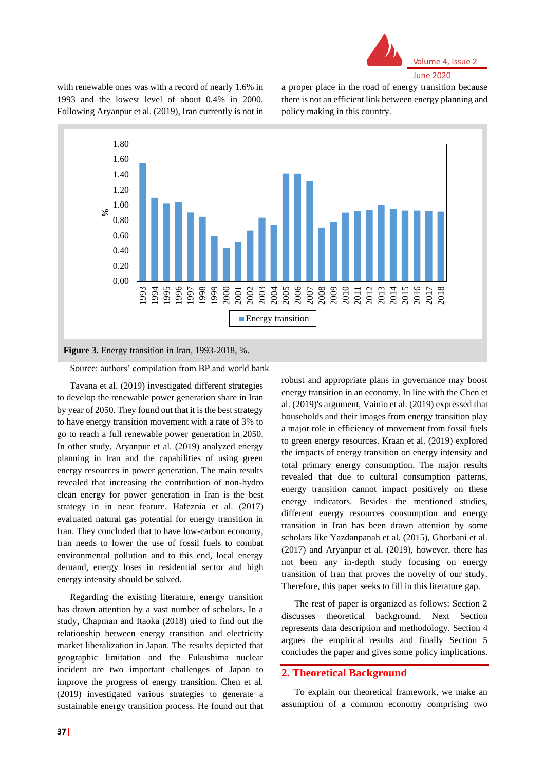

with renewable ones was with a record of nearly 1.6% in 1993 and the lowest level of about 0.4% in 2000. Following Aryanpur et al. (2019), Iran currently is not in a proper place in the road of energy transition because there is not an efficient link between energy planning and policy making in this country.



Source: authors' compilation from BP and world bank

Tavana et al. (2019) investigated different strategies to develop the renewable power generation share in Iran by year of 2050. They found out that it is the best strategy to have energy transition movement with a rate of 3% to go to reach a full renewable power generation in 2050. In other study, Aryanpur et al. (2019) analyzed energy planning in Iran and the capabilities of using green energy resources in power generation. The main results revealed that increasing the contribution of non-hydro clean energy for power generation in Iran is the best strategy in in near feature. Hafeznia et al. (2017) evaluated natural gas potential for energy transition in Iran. They concluded that to have low-carbon economy, Iran needs to lower the use of fossil fuels to combat environmental pollution and to this end, local energy demand, energy loses in residential sector and high energy intensity should be solved.

Regarding the existing literature, energy transition has drawn attention by a vast number of scholars. In a study, Chapman and Itaoka (2018) tried to find out the relationship between energy transition and electricity market liberalization in Japan. The results depicted that geographic limitation and the Fukushima nuclear incident are two important challenges of Japan to improve the progress of energy transition. Chen et al. (2019) investigated various strategies to generate a sustainable energy transition process. He found out that

robust and appropriate plans in governance may boost energy transition in an economy. In line with the Chen et al. (2019)'s argument, Vainio et al. (2019) expressed that households and their images from energy transition play a major role in efficiency of movement from fossil fuels to green energy resources. Kraan et al. (2019) explored the impacts of energy transition on energy intensity and total primary energy consumption. The major results revealed that due to cultural consumption patterns, energy transition cannot impact positively on these energy indicators. Besides the mentioned studies, different energy resources consumption and energy transition in Iran has been drawn attention by some scholars like Yazdanpanah et al. (2015), Ghorbani et al. (2017) and Aryanpur et al. (2019), however, there has not been any in-depth study focusing on energy transition of Iran that proves the novelty of our study. Therefore, this paper seeks to fill in this literature gap.

The rest of paper is organized as follows: Section 2 discusses theoretical background. Next Section represents data description and methodology. Section 4 argues the empirical results and finally Section 5 concludes the paper and gives some policy implications.

#### **2. Theoretical Background**

To explain our theoretical framework, we make an assumption of a common economy comprising two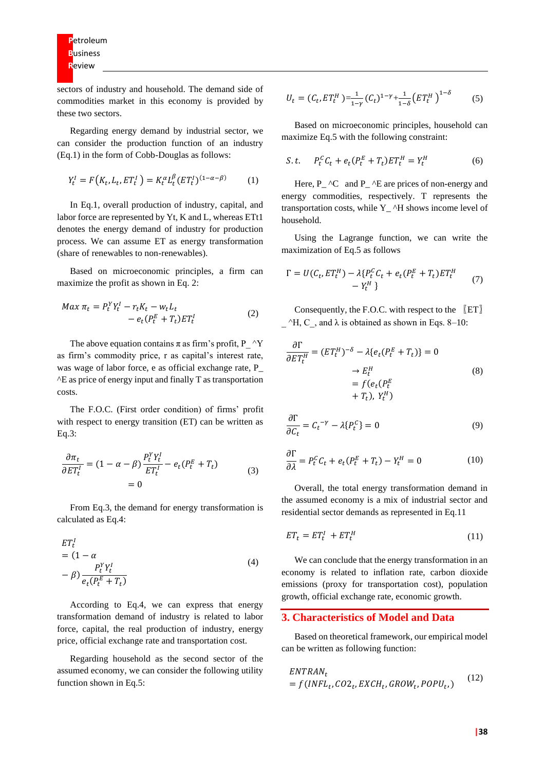**P**etroleum **B**usiness **R**eview

sectors of industry and household. The demand side of commodities market in this economy is provided by these two sectors.

Regarding energy demand by industrial sector, we can consider the production function of an industry (Eq.1) in the form of Cobb-Douglas as follows:

$$
Y_t^I = F(K_t, L_t, ET_t^I) = K_t^{\alpha} L_t^{\beta} (ET_t^I)^{(1-\alpha-\beta)} \tag{1}
$$

In Eq.1, overall production of industry, capital, and labor force are represented by Yt, K and L, whereas ETt1 denotes the energy demand of industry for production process. We can assume ET as energy transformation (share of renewables to non-renewables).

Based on microeconomic principles, a firm can maximize the profit as shown in Eq. 2:

$$
Max \pi_t = P_t^Y Y_t^I - r_t K_t - w_t L_t - e_t (P_t^E + T_t) ET_t^I
$$
 (2)

The above equation contains  $\pi$  as firm's profit, P  $\wedge$ Y as firm's commodity price, r as capital's interest rate, was wage of labor force, e as official exchange rate, P\_  $\Delta E$  as price of energy input and finally T as transportation costs.

The F.O.C. (First order condition) of firms' profit with respect to energy transition (ET) can be written as Eq.3:

$$
\frac{\partial \pi_t}{\partial ET_t^I} = (1 - \alpha - \beta) \frac{P_t^V Y_t^I}{ET_t^I} - e_t (P_t^E + T_t)
$$
\n
$$
= 0
$$
\n(3)

From Eq.3, the demand for energy transformation is calculated as Eq.4:

$$
ETtl
$$
  
=  $(1 - \alpha$   

$$
-\beta) \frac{P_t^Y Y_t^l}{e_t (P_t^E + T_t)}
$$
 (4)

According to Eq.4, we can express that energy transformation demand of industry is related to labor force, capital, the real production of industry, energy price, official exchange rate and transportation cost.

Regarding household as the second sector of the assumed economy, we can consider the following utility function shown in Eq.5:

$$
U_t = (C_t, ET_t^H) = \frac{1}{1-\gamma} (C_t)^{1-\gamma} + \frac{1}{1-\delta} (ET_t^H)^{1-\delta} \tag{5}
$$

Based on microeconomic principles, household can maximize Eq.5 with the following constraint:

$$
S.t. \tP_t^C C_t + e_t (P_t^E + T_t) E T_t^H = Y_t^H \t\t(6)
$$

Here,  $P \text{ } ^\wedge$ C and P  $\text{ } ^\wedge$ E are prices of non-energy and energy commodities, respectively. T represents the transportation costs, while Y\_ ^H shows income level of household.

Using the Lagrange function, we can write the maximization of Eq.5 as follows

$$
\Gamma = U(C_t, ET_t^H) - \lambda \{P_t^C C_t + e_t (P_t^E + T_t) ET_t^H - Y_t^H\}
$$
\n
$$
(7)
$$

Consequently, the F.O.C. with respect to the 〖ET〗  $\sim$  ^H, C<sub>\_</sub>, and  $\lambda$  is obtained as shown in Eqs. 8–10:

$$
\frac{\partial \Gamma}{\partial ET_t^H} = (ET_t^H)^{-\delta} - \lambda \{e_t (P_t^E + T_t)\} = 0
$$
  

$$
\rightarrow E_t^H
$$
  

$$
= f(e_t (P_t^E + T_t), Y_t^H)
$$
 (8)

$$
\frac{\partial \Gamma}{\partial C_t} = C_t^{-\gamma} - \lambda \{P_t^C\} = 0
$$
\n(9)

$$
\frac{\partial \Gamma}{\partial \lambda} = P_t^C C_t + e_t (P_t^E + T_t) - Y_t^H = 0 \tag{10}
$$

Overall, the total energy transformation demand in the assumed economy is a mix of industrial sector and residential sector demands as represented in Eq.11

$$
ET_t = ET_t^I + ET_t^H \tag{11}
$$

We can conclude that the energy transformation in an economy is related to inflation rate, carbon dioxide emissions (proxy for transportation cost), population growth, official exchange rate, economic growth.

#### **3. Characteristics of Model and Data**

Based on theoretical framework, our empirical model can be written as following function:

$$
ENTRANt
$$
  
= f(INFL<sub>t</sub>, CO2<sub>t</sub>, EXCH<sub>t</sub>, GROW<sub>t</sub>, POPU<sub>t</sub>.) (12)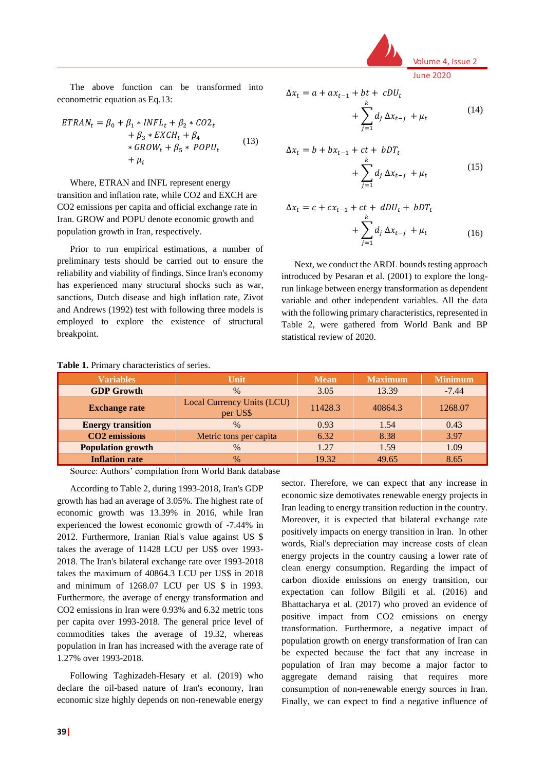

The above function can be transformed into econometric equation as Eq.13:

$$
ETRAN_t = \beta_0 + \beta_1 * INFL_t + \beta_2 * CO2_t
$$
  
+  $\beta_3 * EXCH_t + \beta_4$   
\*  $GROW_t + \beta_5 * POPU_t$   
+  $\mu_i$  (13)

Where, ETRAN and INFL represent energy transition and inflation rate, while CO2 and EXCH are CO2 emissions per capita and official exchange rate in Iran. GROW and POPU denote economic growth and population growth in Iran, respectively.

Prior to run empirical estimations, a number of preliminary tests should be carried out to ensure the reliability and viability of findings. Since Iran's economy has experienced many structural shocks such as war, sanctions, Dutch disease and high inflation rate, Zivot and Andrews (1992) test with following three models is employed to explore the existence of structural breakpoint.

$$
\Delta x_t = a + a x_{t-1} + b t + c D U_t
$$

$$
+\sum_{j=1}^{N} d_j \Delta x_{t-j} + \mu_t \tag{14}
$$

$$
\Delta x_t = b + bx_{t-1} + ct + bDT_t
$$
  
+ 
$$
\sum_{j=1}^k d_j \Delta x_{t-j} + \mu_t
$$
 (15)

$$
\Delta x_t = c + cx_{t-1} + ct + dDU_t + bDT_t
$$

$$
+ \sum_{j=1}^k d_j \Delta x_{t-j} + \mu_t
$$
(16)

Next, we conduct the ARDL bounds testing approach introduced by Pesaran et al. (2001) to explore the longrun linkage between energy transformation as dependent variable and other independent variables. All the data with the following primary characteristics, represented in Table 2, were gathered from World Bank and BP statistical review of 2020.

| <b>Variables</b>         | Unit                                   | <b>Mean</b>        | <b>Maximum</b> | <b>Minimum</b> |
|--------------------------|----------------------------------------|--------------------|----------------|----------------|
| <b>GDP Growth</b>        | $\%$                                   | 3.05               | 13.39          | $-7.44$        |
| <b>Exchange rate</b>     | Local Currency Units (LCU)<br>per US\$ | 11428.3<br>40864.3 |                | 1268.07        |
| <b>Energy transition</b> | $\frac{0}{0}$                          | 0.93               | 1.54           | 0.43           |
| <b>CO2</b> emissions     | Metric tons per capita                 | 6.32               | 8.38           | 3.97           |
| <b>Population growth</b> | $\%$                                   | 1.27               | 1.59           | 1.09           |
| <b>Inflation rate</b>    | $\%$                                   | 19.32              | 49.65          | 8.65           |

**Table 1.** Primary characteristics of series.

Source: Authors' compilation from World Bank database

According to Table 2, during 1993-2018, Iran's GDP growth has had an average of 3.05%. The highest rate of economic growth was 13.39% in 2016, while Iran experienced the lowest economic growth of -7.44% in 2012. Furthermore, Iranian Rial's value against US \$ takes the average of 11428 LCU per US\$ over 1993- 2018. The Iran's bilateral exchange rate over 1993-2018 takes the maximum of 40864.3 LCU per US\$ in 2018 and minimum of 1268.07 LCU per US \$ in 1993. Furthermore, the average of energy transformation and CO2 emissions in Iran were 0.93% and 6.32 metric tons per capita over 1993-2018. The general price level of commodities takes the average of 19.32, whereas population in Iran has increased with the average rate of 1.27% over 1993-2018.

Following Taghizadeh-Hesary et al. (2019) who declare the oil-based nature of Iran's economy, Iran economic size highly depends on non-renewable energy

sector. Therefore, we can expect that any increase in economic size demotivates renewable energy projects in Iran leading to energy transition reduction in the country. Moreover, it is expected that bilateral exchange rate positively impacts on energy transition in Iran. In other words, Rial's depreciation may increase costs of clean energy projects in the country causing a lower rate of clean energy consumption. Regarding the impact of carbon dioxide emissions on energy transition, our expectation can follow Bilgili et al. (2016) and Bhattacharya et al. (2017) who proved an evidence of positive impact from CO2 emissions on energy transformation. Furthermore, a negative impact of population growth on energy transformation of Iran can be expected because the fact that any increase in population of Iran may become a major factor to aggregate demand raising that requires more consumption of non-renewable energy sources in Iran. Finally, we can expect to find a negative influence of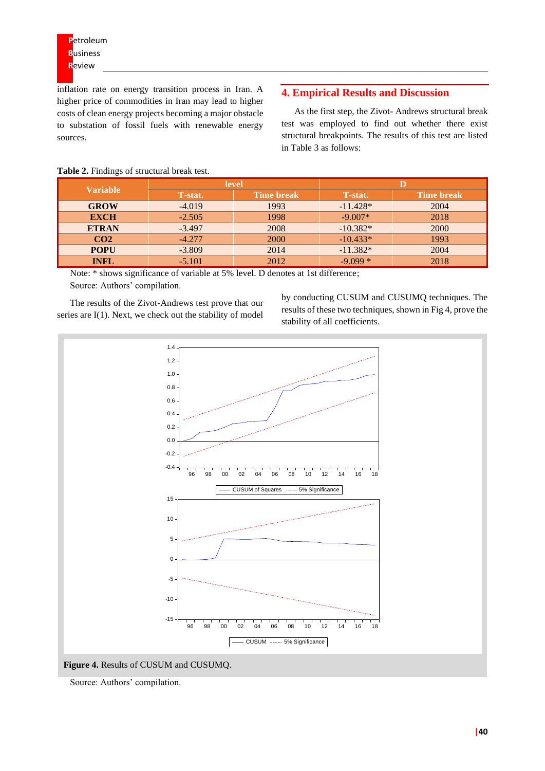inflation rate on energy transition process in Iran. A higher price of commodities in Iran may lead to higher costs of clean energy projects becoming a major obstacle to substation of fossil fuels with renewable energy sources.

# **4. Empirical Results and Discussion**

As the first step, the Zivot- Andrews structural break test was employed to find out whether there exist structural breakpoints. The results of this test are listed in Table 3 as follows:

| able 2. Findings of structural break test. |                 |                   |                 |                   |  |
|--------------------------------------------|-----------------|-------------------|-----------------|-------------------|--|
| <b>Variable</b>                            | level           |                   |                 |                   |  |
|                                            | <b>T</b> -stat. | <b>Time break</b> | <b>T</b> -stat. | <b>Time break</b> |  |
| <b>GROW</b>                                | $-4.019$        | 1993              | $-11.428*$      | 2004              |  |
| <b>EXCH</b>                                | $-2.505$        | 1998              | $-9.007*$       | 2018              |  |
| <b>ETRAN</b>                               | $-3.497$        | 2008              | $-10.382*$      | 2000              |  |
| CO <sub>2</sub>                            | $-4.277$        | <b>2000</b>       | $-10.433*$      | 1993              |  |
| <b>POPU</b>                                | $-3.809$        | 2014              | $-11.382*$      | 2004              |  |
| <b>INFL</b>                                | $-5.101$        | 2012              | $-9.099*$       | 2018              |  |

#### **Table 2.** Findings of structural break test.

Note: \* shows significance of variable at 5% level. D denotes at 1st difference; Source: Authors' compilation.

The results of the Zivot-Andrews test prove that our series are I(1). Next, we check out the stability of model

by conducting CUSUM and CUSUMQ techniques. The results of these two techniques, shown in Fig 4, prove the stability of all coefficients.



Source: Authors' compilation.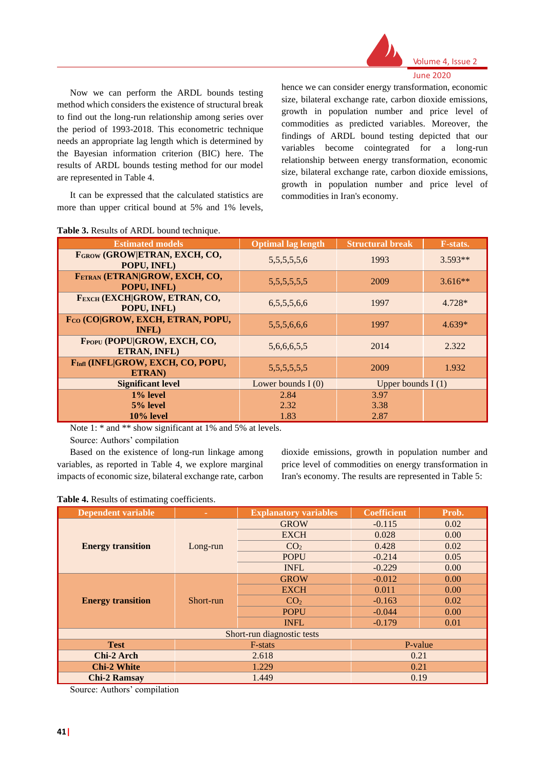

# Volume 4, Issue 2

June 2020

Now we can perform the ARDL bounds testing method which considers the existence of structural break to find out the long-run relationship among series over the period of 1993-2018. This econometric technique needs an appropriate lag length which is determined by the Bayesian information criterion (BIC) here. The results of ARDL bounds testing method for our model are represented in Table 4.

It can be expressed that the calculated statistics are more than upper critical bound at 5% and 1% levels,

hence we can consider energy transformation, economic size, bilateral exchange rate, carbon dioxide emissions, growth in population number and price level of commodities as predicted variables. Moreover, the findings of ARDL bound testing depicted that our variables become cointegrated for a long-run relationship between energy transformation, economic size, bilateral exchange rate, carbon dioxide emissions, growth in population number and price level of commodities in Iran's economy.

| <b>Estimated models</b>                                         | <b>Optimal lag length</b> | <b>Structural break</b> | <b>F</b> -stats. |
|-----------------------------------------------------------------|---------------------------|-------------------------|------------------|
| FGROW (GROW ETRAN, EXCH, CO,<br>POPU, INFL)                     | 5, 5, 5, 5, 5, 6          | 1993                    | $3.593**$        |
| FETRAN (ETRAN GROW, EXCH, CO,<br>POPU, INFL)                    | 5, 5, 5, 5, 5, 5, 5       | 2009                    | $3.616**$        |
| FEXCH (EXCH GROW, ETRAN, CO,<br>POPU, INFL)                     | 6,5,5,5,6,6               | 1997                    | $4.728*$         |
| F <sub>co</sub> (CO GROW, EXCH, ETRAN, POPU,<br><b>INFL</b> )   | 5,5,5,6,6,6               | 1997                    | $4.639*$         |
| FPOPU (POPU GROW, EXCH, CO,<br>ETRAN, INFL)                     | 5,6,6,6,5,5               | 2014                    | 2.322            |
| F <sub>Infl</sub> (INFL GROW, EXCH, CO, POPU,<br><b>ETRAN</b> ) | 5, 5, 5, 5, 5, 5, 5       | 2009                    | 1.932            |
| <b>Significant level</b>                                        | Lower bounds $I(0)$       | Upper bounds $I(1)$     |                  |
| 1% level                                                        | 2.84                      | 3.97                    |                  |
| 5% level                                                        | 2.32                      | 3.38                    |                  |
| $10\%$ level                                                    | 1.83                      | 2.87                    |                  |

#### **Table 3.** Results of ARDL bound technique.

Note 1: \* and \*\* show significant at 1% and 5% at levels.

Source: Authors' compilation

Based on the existence of long-run linkage among variables, as reported in Table 4, we explore marginal impacts of economic size, bilateral exchange rate, carbon dioxide emissions, growth in population number and price level of commodities on energy transformation in Iran's economy. The results are represented in Table 5:

| <b>Dependent variable</b>  | ٠         | <b>Explanatory variables</b> | <b>Coefficient</b> | Prob. |  |
|----------------------------|-----------|------------------------------|--------------------|-------|--|
| <b>Energy transition</b>   | Long-run  | <b>GROW</b>                  | $-0.115$           | 0.02  |  |
|                            |           | <b>EXCH</b>                  | 0.028              | 0.00  |  |
|                            |           | CO <sub>2</sub>              | 0.428              | 0.02  |  |
|                            |           | <b>POPU</b>                  | $-0.214$           | 0.05  |  |
|                            |           | <b>INFL</b>                  | $-0.229$           | 0.00  |  |
| <b>Energy transition</b>   | Short-run | <b>GROW</b>                  | $-0.012$           | 0.00  |  |
|                            |           | <b>EXCH</b>                  | 0.011              | 0.00  |  |
|                            |           | CO <sub>2</sub>              | $-0.163$           | 0.02  |  |
|                            |           | <b>POPU</b>                  | $-0.044$           | 0.00  |  |
|                            |           | <b>INFL</b>                  | $-0.179$           | 0.01  |  |
| Short-run diagnostic tests |           |                              |                    |       |  |
| <b>Test</b>                | F-stats   |                              | P-value            |       |  |
| Chi-2 Arch                 | 2.618     |                              | 0.21               |       |  |
| <b>Chi-2 White</b>         | 1.229     |                              | 0.21               |       |  |
| <b>Chi-2 Ramsay</b>        | 1.449     |                              |                    | 0.19  |  |

Source: Authors' compilation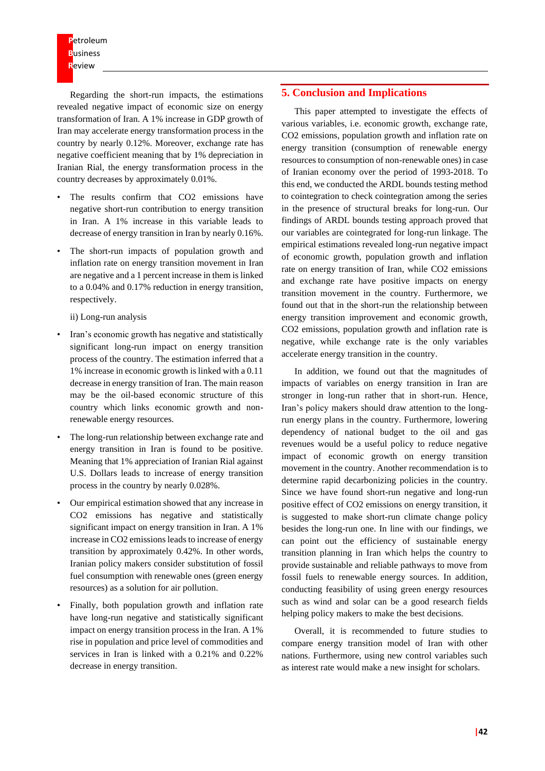Regarding the short-run impacts, the estimations revealed negative impact of economic size on energy transformation of Iran. A 1% increase in GDP growth of Iran may accelerate energy transformation process in the country by nearly 0.12%. Moreover, exchange rate has negative coefficient meaning that by 1% depreciation in Iranian Rial, the energy transformation process in the country decreases by approximately 0.01%.

- The results confirm that CO2 emissions have negative short-run contribution to energy transition in Iran. A 1% increase in this variable leads to decrease of energy transition in Iran by nearly 0.16%.
- The short-run impacts of population growth and inflation rate on energy transition movement in Iran are negative and a 1 percent increase in them is linked to a 0.04% and 0.17% reduction in energy transition, respectively.

ii) Long-run analysis

- Iran's economic growth has negative and statistically significant long-run impact on energy transition process of the country. The estimation inferred that a 1% increase in economic growth is linked with a 0.11 decrease in energy transition of Iran. The main reason may be the oil-based economic structure of this country which links economic growth and nonrenewable energy resources.
- The long-run relationship between exchange rate and energy transition in Iran is found to be positive. Meaning that 1% appreciation of Iranian Rial against U.S. Dollars leads to increase of energy transition process in the country by nearly 0.028%.
- Our empirical estimation showed that any increase in CO2 emissions has negative and statistically significant impact on energy transition in Iran. A 1% increase in CO2 emissions leads to increase of energy transition by approximately 0.42%. In other words, Iranian policy makers consider substitution of fossil fuel consumption with renewable ones (green energy resources) as a solution for air pollution.
- Finally, both population growth and inflation rate have long-run negative and statistically significant impact on energy transition process in the Iran. A 1% rise in population and price level of commodities and services in Iran is linked with a 0.21% and 0.22% decrease in energy transition.

#### **5. Conclusion and Implications**

This paper attempted to investigate the effects of various variables, i.e. economic growth, exchange rate, CO2 emissions, population growth and inflation rate on energy transition (consumption of renewable energy resources to consumption of non-renewable ones) in case of Iranian economy over the period of 1993-2018. To this end, we conducted the ARDL bounds testing method to cointegration to check cointegration among the series in the presence of structural breaks for long-run. Our findings of ARDL bounds testing approach proved that our variables are cointegrated for long-run linkage. The empirical estimations revealed long-run negative impact of economic growth, population growth and inflation rate on energy transition of Iran, while CO2 emissions and exchange rate have positive impacts on energy transition movement in the country. Furthermore, we found out that in the short-run the relationship between energy transition improvement and economic growth, CO2 emissions, population growth and inflation rate is negative, while exchange rate is the only variables accelerate energy transition in the country.

In addition, we found out that the magnitudes of impacts of variables on energy transition in Iran are stronger in long-run rather that in short-run. Hence, Iran's policy makers should draw attention to the longrun energy plans in the country. Furthermore, lowering dependency of national budget to the oil and gas revenues would be a useful policy to reduce negative impact of economic growth on energy transition movement in the country. Another recommendation is to determine rapid decarbonizing policies in the country. Since we have found short-run negative and long-run positive effect of CO2 emissions on energy transition, it is suggested to make short-run climate change policy besides the long-run one. In line with our findings, we can point out the efficiency of sustainable energy transition planning in Iran which helps the country to provide sustainable and reliable pathways to move from fossil fuels to renewable energy sources. In addition, conducting feasibility of using green energy resources such as wind and solar can be a good research fields helping policy makers to make the best decisions.

Overall, it is recommended to future studies to compare energy transition model of Iran with other nations. Furthermore, using new control variables such as interest rate would make a new insight for scholars.